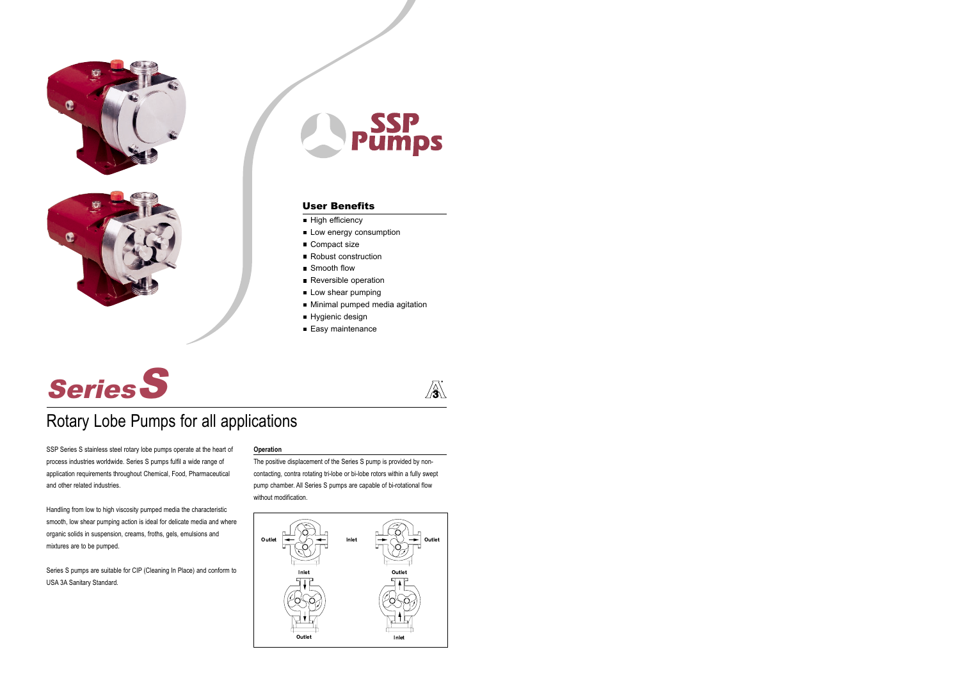





# User Benefits

- High efficiency
- Low energy consumption
- Compact size
- Robust construction
- Smooth flow
- **Reversible operation**
- Low shear pumping
- **Minimal pumped media agitation**
- Hygienic design
- Easy maintenance



# S Series

# Rotary Lobe Pumps for all applications

SSP Series S stainless steel rotary lobe pumps operate at the heart of process industries worldwide. Series S pumps fulfil a wide range of application requirements throughout Chemical, Food, Pharmaceutical and other related industries.

Handling from low to high viscosity pumped media the characteristic smooth, low shear pumping action is ideal for delicate media and where organic solids in suspension, creams, froths, gels, emulsions and mixtures are to be pumped.

Series S pumps are suitable for CIP (Cleaning In Place) and conform to USA 3A Sanitary Standard.

# **Operation**

The positive displacement of the Series S pump is provided by noncontacting, contra rotating tri-lobe or bi-lobe rotors within a fully swept pump chamber. All Series S pumps are capable of bi-rotational flow without modification.

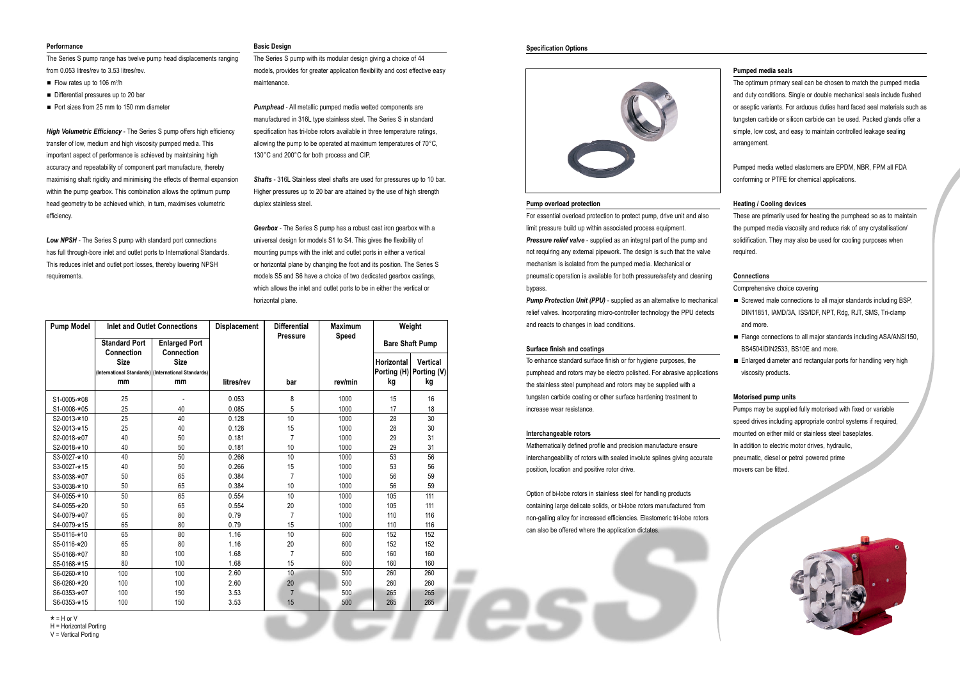#### **Performance**

The Series S pump range has twelve pump head displacements ranging from 0.053 litres/rev to 3.53 litres/rev.

- $\blacksquare$  Flow rates up to 106 m<sup>3</sup>/h
- Differential pressures up to 20 bar
- Port sizes from 25 mm to 150 mm diameter

*High Volumetric Efficiency* - The Series S pump offers high efficiency transfer of low, medium and high viscosity pumped media. This important aspect of performance is achieved by maintaining high accuracy and repeatability of component part manufacture, thereby maximising shaft rigidity and minimising the effects of thermal expansion within the pump gearbox. This combination allows the optimum pump head geometry to be achieved which, in turn, maximises volumetric efficiency.

*Low NPSH* - The Series S pump with standard port connections has full through-bore inlet and outlet ports to International Standards. This reduces inlet and outlet port losses, thereby lowering NPSH requirements.

# **Basic Design**

The Series S pump with its modular design giving a choice of 44 models, provides for greater application flexibility and cost effective easy maintenance.

*Pumphead* - All metallic pumped media wetted components are manufactured in 316L type stainless steel. The Series S in standard specification has tri-lobe rotors available in three temperature ratings, allowing the pump to be operated at maximum temperatures of 70°C, 130°C and 200°C for both process and CIP.

> **Pump Protection Unit (PPU)** - supplied as an alternative to mechanical relief valves. Incorporating micro-controller technology the PPU detects and reacts to changes in load conditions.

*Shafts* - 316L Stainless steel shafts are used for pressures up to 10 bar. Higher pressures up to 20 bar are attained by the use of high strength duplex stainless steel.

*Gearbox* - The Series S pump has a robust cast iron gearbox with a universal design for models S1 to S4. This gives the flexibility of mounting pumps with the inlet and outlet ports in either a vertical or horizontal plane by changing the foot and its position. The Series S models S5 and S6 have a choice of two dedicated gearbox castings, which allows the inlet and outlet ports to be in either the vertical or horizontal plane.

#### **Pump overload protection**

For essential overload protection to protect pump, drive unit and also limit pressure build up within associated process equipment. **Pressure relief valve** - supplied as an integral part of the pump and not requiring any external pipework. The design is such that the valve mechanism is isolated from the pumped media. Mechanical or pneumatic operation is available for both pressure/safety and cleaning bypass.

- Screwed male connections to all major standards including BSP, DIN11851, IAMD/3A, ISS/IDF, NPT, Rdg, RJT, SMS, Tri-clamp and more.
- Flange connections to all major standards including ASA/ANSI150, BS4504/DIN2533, BS10E and more.
- Enlarged diameter and rectangular ports for handling very high viscosity products.

#### **Surface finish and coatings**

To enhance standard surface finish or for hygiene purposes, the pumphead and rotors may be electro polished. For abrasive applications the stainless steel pumphead and rotors may be supplied with a tungsten carbide coating or other surface hardening treatment to increase wear resistance.

#### **Interchangeable rotors**

Mathematically defined profile and precision manufacture ensure interchangeability of rotors with sealed involute splines giving accurate position, location and positive rotor drive.

Option of bi-lobe rotors in stainless steel for handling products containing large delicate solids, or bi-lobe rotors manufactured from non-galling alloy for increased efficiencies. Elastomeric tri-lobe rotors can also be offered where the application dictates.

# **Pumped media seals**

The optimum primary seal can be chosen to match the pumped media and duty conditions. Single or double mechanical seals include flushed or aseptic variants. For arduous duties hard faced seal materials such as tungsten carbide or silicon carbide can be used. Packed glands offer a simple, low cost, and easy to maintain controlled leakage sealing arrangement.

Pumped media wetted elastomers are EPDM, NBR, FPM all FDA conforming or PTFE for chemical applications.

# **Heating / Cooling devices**

These are primarily used for heating the pumphead so as to maintain the pumped media viscosity and reduce risk of any crystallisation/ solidification. They may also be used for cooling purposes when required.

# **Connections**

# Comprehensive choice covering

# **Motorised pump units**

Pumps may be supplied fully motorised with fixed or variable speed drives including appropriate control systems if required, mounted on either mild or stainless steel baseplates. In addition to electric motor drives, hydraulic, pneumatic, diesel or petrol powered prime movers can be fitted.



# **Specification Options**



| <b>Pump Model</b> |                                                     | <b>Inlet and Outlet Connections</b>       | <b>Displacement</b> | <b>Differential</b><br><b>Pressure</b> | <b>Maximum</b><br><b>Speed</b> | Weight                 |                 |  |  |  |
|-------------------|-----------------------------------------------------|-------------------------------------------|---------------------|----------------------------------------|--------------------------------|------------------------|-----------------|--|--|--|
|                   | <b>Standard Port</b><br><b>Connection</b>           | <b>Enlarged Port</b><br><b>Connection</b> |                     |                                        |                                | <b>Bare Shaft Pump</b> |                 |  |  |  |
|                   | <b>Size</b>                                         | <b>Size</b>                               |                     |                                        |                                | Horizontal             | <b>Vertical</b> |  |  |  |
|                   | (International Standards) (International Standards) |                                           |                     |                                        |                                | Porting (H)            | Porting (V)     |  |  |  |
|                   | mm                                                  | mm                                        | litres/rev          | bar                                    | rev/min                        | kg                     | kg              |  |  |  |
| S1-0005-*08       | 25                                                  |                                           | 0.053               | 8                                      | 1000                           | 15                     | 16              |  |  |  |
| S1-0008-*05       | 25                                                  | 40                                        | 0.085               | 5                                      | 1000                           | 17                     | 18              |  |  |  |
| S2-0013-*10       | 25                                                  | 40                                        | 0.128               | 10                                     | 1000                           | 28                     | 30              |  |  |  |
| S2-0013-*15       | 25                                                  | 40                                        | 0.128               | 15                                     | 1000                           | 28                     | 30              |  |  |  |
| S2-0018-*07       | 40                                                  | 50                                        | 0.181               | 7                                      | 1000                           | 29                     | 31              |  |  |  |
| S2-0018-*10       | 40                                                  | 50                                        | 0.181               | 10                                     | 1000                           | 29                     | 31              |  |  |  |
| S3-0027-*10       | 40                                                  | 50                                        | 0.266               | 10                                     | 1000                           | 53                     | 56              |  |  |  |
| S3-0027-*15       | 40                                                  | 50                                        | 0.266               | 15                                     | 1000                           | 53                     | 56              |  |  |  |
| S3-0038-*07       | 50                                                  | 65                                        | 0.384               | 7                                      | 1000                           | 56                     | 59              |  |  |  |
| S3-0038-*10       | 50                                                  | 65                                        | 0.384               | 10                                     | 1000                           | 56                     | 59              |  |  |  |
| S4-0055-*10       | 50                                                  | 65                                        | 0.554               | 10                                     | 1000                           | 105                    | 111             |  |  |  |
| S4-0055-*20       | 50                                                  | 65                                        | 0.554               | 20                                     | 1000                           | 105                    | 111             |  |  |  |
| S4-0079-*07       | 65                                                  | 80                                        | 0.79                | 7                                      | 1000                           | 110                    | 116             |  |  |  |
| S4-0079-*15       | 65                                                  | 80                                        | 0.79                | 15                                     | 1000                           | 110                    | 116             |  |  |  |
| S5-0116-*10       | 65                                                  | 80                                        | 1.16                | 10                                     | 600                            | 152                    | 152             |  |  |  |
| S5-0116-*20       | 65                                                  | 80                                        | 1.16                | 20                                     | 600                            | 152                    | 152             |  |  |  |
| S5-0168-*07       | 80                                                  | 100                                       | 1.68                | 7                                      | 600                            | 160                    | 160             |  |  |  |
| S5-0168-*15       | 80                                                  | 100                                       | 1.68                | 15                                     | 600                            | 160                    | 160             |  |  |  |
| S6-0260-*10       | 100                                                 | 100                                       | 2.60                | 10                                     | 500                            | 260                    | 260             |  |  |  |
| S6-0260-*20       | 100                                                 | 100                                       | 2.60                | 20                                     | 500                            | 260                    | 260             |  |  |  |
| S6-0353-*07       | 100                                                 | 150                                       | 3.53                | $\overline{7}$                         | 500                            | 265                    | 265             |  |  |  |
| S6-0353-*15       | 100                                                 | 150                                       | 3.53                | 15                                     | 500                            | 265                    | 265             |  |  |  |

\* = H or V

H = Horizontal Porting

V = Vertical Porting